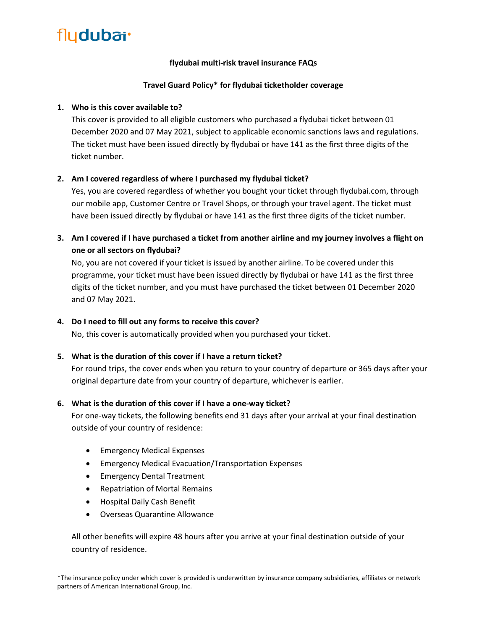### **flydubai multi-risk travel insurance FAQs**

### **Travel Guard Policy\* for flydubai ticketholder coverage**

### **1. Who is this cover available to?**

This cover is provided to all eligible customers who purchased a flydubai ticket between 01 December 2020 and 07 May 2021, subject to applicable economic sanctions laws and regulations. The ticket must have been issued directly by flydubai or have 141 as the first three digits of the ticket number.

### **2. Am I covered regardless of where I purchased my flydubai ticket?**

Yes, you are covered regardless of whether you bought your ticket through flydubai.com, through our mobile app, Customer Centre or Travel Shops, or through your travel agent. The ticket must have been issued directly by flydubai or have 141 as the first three digits of the ticket number.

**3. Am I covered if I have purchased a ticket from another airline and my journey involves a flight on one or all sectors on flydubai?**

No, you are not covered if your ticket is issued by another airline. To be covered under this programme, your ticket must have been issued directly by flydubai or have 141 as the first three digits of the ticket number, and you must have purchased the ticket between 01 December 2020 and 07 May 2021.

#### **4. Do I need to fill out any forms to receive this cover?**

No, this cover is automatically provided when you purchased your ticket.

#### **5. What is the duration of this cover if I have a return ticket?**

For round trips, the cover ends when you return to your country of departure or 365 days after your original departure date from your country of departure, whichever is earlier.

#### **6. What is the duration of this cover if I have a one-way ticket?**

For one-way tickets, the following benefits end 31 days after your arrival at your final destination outside of your country of residence:

- Emergency Medical Expenses
- Emergency Medical Evacuation/Transportation Expenses
- Emergency Dental Treatment
- Repatriation of Mortal Remains
- Hospital Daily Cash Benefit
- Overseas Quarantine Allowance

All other benefits will expire 48 hours after you arrive at your final destination outside of your country of residence.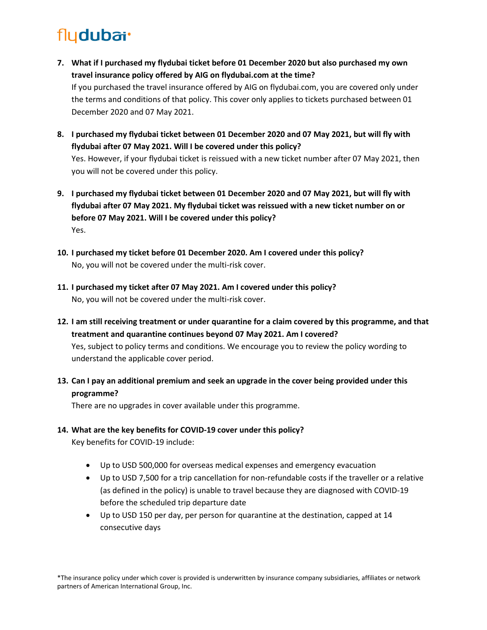- **7. What if I purchased my flydubai ticket before 01 December 2020 but also purchased my own travel insurance policy offered by AIG on flydubai.com at the time?** If you purchased the travel insurance offered by AIG on flydubai.com, you are covered only under the terms and conditions of that policy. This cover only applies to tickets purchased between 01 December 2020 and 07 May 2021.
- **8. I purchased my flydubai ticket between 01 December 2020 and 07 May 2021, but will fly with flydubai after 07 May 2021. Will I be covered under this policy?** Yes. However, if your flydubai ticket is reissued with a new ticket number after 07 May 2021, then you will not be covered under this policy.
- **9. I purchased my flydubai ticket between 01 December 2020 and 07 May 2021, but will fly with flydubai after 07 May 2021. My flydubai ticket was reissued with a new ticket number on or before 07 May 2021. Will I be covered under this policy?** Yes.
- **10. I purchased my ticket before 01 December 2020. Am I covered under this policy?** No, you will not be covered under the multi-risk cover.
- **11. I purchased my ticket after 07 May 2021. Am I covered under this policy?** No, you will not be covered under the multi-risk cover.
- **12. I am still receiving treatment or under quarantine for a claim covered by this programme, and that treatment and quarantine continues beyond 07 May 2021. Am I covered?** Yes, subject to policy terms and conditions. We encourage you to review the policy wording to understand the applicable cover period.
- **13. Can I pay an additional premium and seek an upgrade in the cover being provided under this programme?**

There are no upgrades in cover available under this programme.

**14. What are the key benefits for COVID-19 cover under this policy?**

Key benefits for COVID-19 include:

- Up to USD 500,000 for overseas medical expenses and emergency evacuation
- Up to USD 7,500 for a trip cancellation for non-refundable costs if the traveller or a relative (as defined in the policy) is unable to travel because they are diagnosed with COVID-19 before the scheduled trip departure date
- Up to USD 150 per day, per person for quarantine at the destination, capped at 14 consecutive days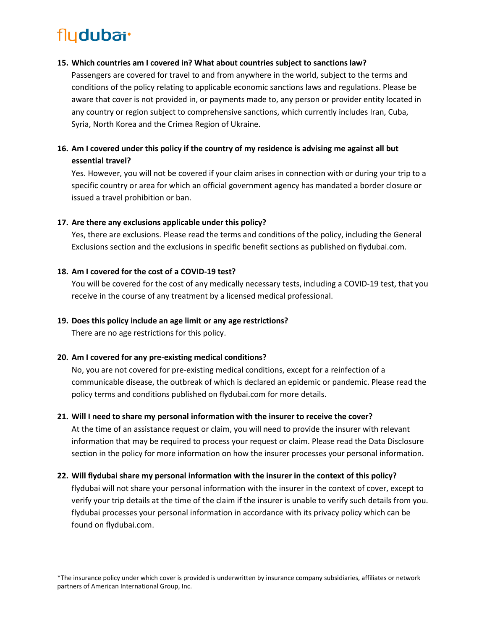#### **15. Which countries am I covered in? What about countries subject to sanctions law?**

Passengers are covered for travel to and from anywhere in the world, subject to the terms and conditions of the policy relating to applicable economic sanctions laws and regulations. Please be aware that cover is not provided in, or payments made to, any person or provider entity located in any country or region subject to comprehensive sanctions, which currently includes Iran, Cuba, Syria, North Korea and the Crimea Region of Ukraine.

# **16. Am I covered under this policy if the country of my residence is advising me against all but essential travel?**

Yes. However, you will not be covered if your claim arises in connection with or during your trip to a specific country or area for which an official government agency has mandated a border closure or issued a travel prohibition or ban.

#### **17. Are there any exclusions applicable under this policy?**

Yes, there are exclusions. Please read the terms and conditions of the policy, including the General Exclusions section and the exclusions in specific benefit sections as published on flydubai.com.

#### **18. Am I covered for the cost of a COVID-19 test?**

You will be covered for the cost of any medically necessary tests, including a COVID-19 test, that you receive in the course of any treatment by a licensed medical professional.

### **19. Does this policy include an age limit or any age restrictions?**

There are no age restrictions for this policy.

#### **20. Am I covered for any pre-existing medical conditions?**

No, you are not covered for pre-existing medical conditions, except for a reinfection of a communicable disease, the outbreak of which is declared an epidemic or pandemic. Please read the policy terms and conditions published on flydubai.com for more details.

### **21. Will I need to share my personal information with the insurer to receive the cover?**

At the time of an assistance request or claim, you will need to provide the insurer with relevant information that may be required to process your request or claim. Please read the Data Disclosure section in the policy for more information on how the insurer processes your personal information.

### **22. Will flydubai share my personal information with the insurer in the context of this policy?**

flydubai will not share your personal information with the insurer in the context of cover, except to verify your trip details at the time of the claim if the insurer is unable to verify such details from you. flydubai processes your personal information in accordance with its privacy policy which can be found on flydubai.com.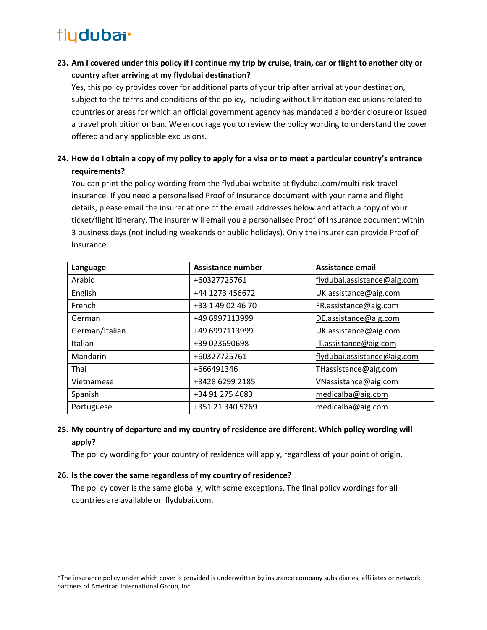**23. Am I covered under this policy if I continue my trip by cruise, train, car or flight to another city or country after arriving at my flydubai destination?**

Yes, this policy provides cover for additional parts of your trip after arrival at your destination, subject to the terms and conditions of the policy, including without limitation exclusions related to countries or areas for which an official government agency has mandated a border closure or issued a travel prohibition or ban. We encourage you to review the policy wording to understand the cover offered and any applicable exclusions.

**24. How do I obtain a copy of my policy to apply for a visa or to meet a particular country's entrance requirements?**

You can print the policy wording from the flydubai website at flydubai.com/multi-risk-travelinsurance. If you need a personalised Proof of Insurance document with your name and flight details, please email the insurer at one of the email addresses below and attach a copy of your ticket/flight itinerary. The insurer will email you a personalised Proof of Insurance document within 3 business days (not including weekends or public holidays). Only the insurer can provide Proof of Insurance.

| Language       | <b>Assistance number</b> | Assistance email            |
|----------------|--------------------------|-----------------------------|
| Arabic         | +60327725761             | flydubai.assistance@aig.com |
| English        | +44 1273 456672          | UK.assistance@aig.com       |
| French         | +33 1 49 02 46 70        | FR.assistance@aig.com       |
| German         | +49 6997113999           | DE.assistance@aig.com       |
| German/Italian | +49 6997113999           | UK.assistance@aig.com       |
| Italian        | +39 023690698            | IT.assistance@aig.com       |
| Mandarin       | +60327725761             | flydubai.assistance@aig.com |
| Thai           | +666491346               | THassistance@aig.com        |
| Vietnamese     | +8428 6299 2185          | VNassistance@aig.com        |
| Spanish        | +34 91 275 4683          | medicalba@aig.com           |
| Portuguese     | +351 21 340 5269         | medicalba@aig.com           |

# **25. My country of departure and my country of residence are different. Which policy wording will apply?**

The policy wording for your country of residence will apply, regardless of your point of origin.

#### **26. Is the cover the same regardless of my country of residence?**

The policy cover is the same globally, with some exceptions. The final policy wordings for all countries are available on flydubai.com.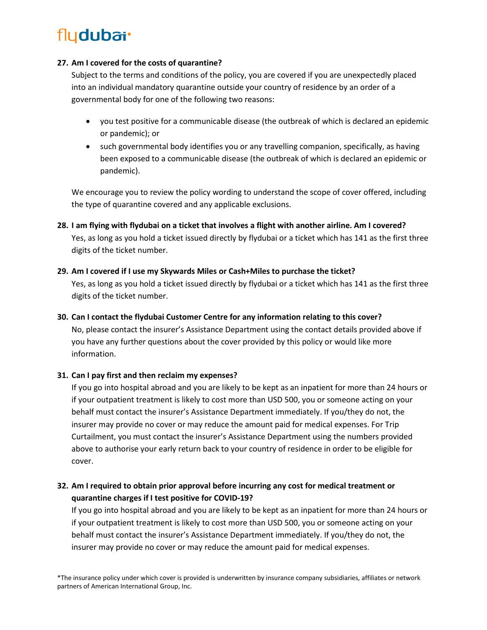#### **27. Am I covered for the costs of quarantine?**

Subject to the terms and conditions of the policy, you are covered if you are unexpectedly placed into an individual mandatory quarantine outside your country of residence by an order of a governmental body for one of the following two reasons:

- you test positive for a communicable disease (the outbreak of which is declared an epidemic or pandemic); or
- such governmental body identifies you or any travelling companion, specifically, as having been exposed to a communicable disease (the outbreak of which is declared an epidemic or pandemic).

We encourage you to review the policy wording to understand the scope of cover offered, including the type of quarantine covered and any applicable exclusions.

**28. I am flying with flydubai on a ticket that involves a flight with another airline. Am I covered?** Yes, as long as you hold a ticket issued directly by flydubai or a ticket which has 141 as the first three digits of the ticket number.

# **29. Am I covered if I use my Skywards Miles or Cash+Miles to purchase the ticket?** Yes, as long as you hold a ticket issued directly by flydubai or a ticket which has 141 as the first three

# digits of the ticket number.

# **30. Can I contact the flydubai Customer Centre for any information relating to this cover?**

No, please contact the insurer's Assistance Department using the contact details provided above if you have any further questions about the cover provided by this policy or would like more information.

# **31. Can I pay first and then reclaim my expenses?**

If you go into hospital abroad and you are likely to be kept as an inpatient for more than 24 hours or if your outpatient treatment is likely to cost more than USD 500, you or someone acting on your behalf must contact the insurer's Assistance Department immediately. If you/they do not, the insurer may provide no cover or may reduce the amount paid for medical expenses. For Trip Curtailment, you must contact the insurer's Assistance Department using the numbers provided above to authorise your early return back to your country of residence in order to be eligible for cover.

# **32. Am I required to obtain prior approval before incurring any cost for medical treatment or quarantine charges if I test positive for COVID-19?**

If you go into hospital abroad and you are likely to be kept as an inpatient for more than 24 hours or if your outpatient treatment is likely to cost more than USD 500, you or someone acting on your behalf must contact the insurer's Assistance Department immediately. If you/they do not, the insurer may provide no cover or may reduce the amount paid for medical expenses.